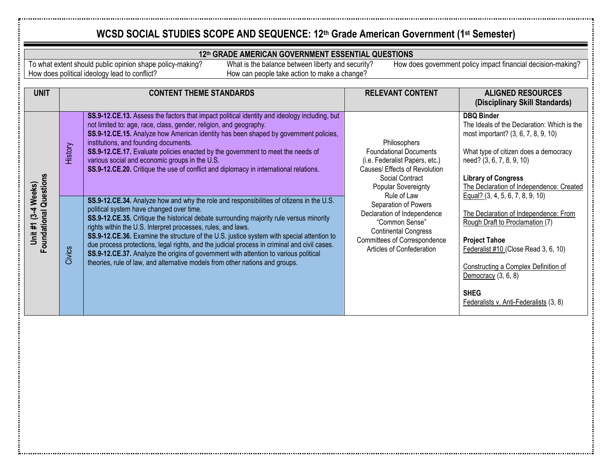#### **12th GRADE AMERICAN GOVERNMENT ESSENTIAL QUESTIONS**

To what extent should public opinion shape policy-making? How does political ideology lead to conflict?

What is the balance between liberty and security? How can people take action to make a change?

| <b>UNIT</b>                                          |         | <b>CONTENT THEME STANDARDS</b>                                                                                                                                                                                                                                                                                                                                                                                                                                                                                                                                                                                                                                       | <b>RELEVANT CONTENT</b>                                                                                                                                                                                                                                                                                                                        | <b>ALIGNED RESOURCES</b>                                                                                                                                                                                                                                                                                 |
|------------------------------------------------------|---------|----------------------------------------------------------------------------------------------------------------------------------------------------------------------------------------------------------------------------------------------------------------------------------------------------------------------------------------------------------------------------------------------------------------------------------------------------------------------------------------------------------------------------------------------------------------------------------------------------------------------------------------------------------------------|------------------------------------------------------------------------------------------------------------------------------------------------------------------------------------------------------------------------------------------------------------------------------------------------------------------------------------------------|----------------------------------------------------------------------------------------------------------------------------------------------------------------------------------------------------------------------------------------------------------------------------------------------------------|
|                                                      |         |                                                                                                                                                                                                                                                                                                                                                                                                                                                                                                                                                                                                                                                                      |                                                                                                                                                                                                                                                                                                                                                | (Disciplinary Skill Standards)                                                                                                                                                                                                                                                                           |
| <b>Foundational Questions</b><br>Unit #1 (3-4 Weeks) | History | SS.9-12.CE.13. Assess the factors that impact political identity and ideology including, but<br>not limited to: age, race, class, gender, religion, and geography.<br>SS.9-12.CE.15. Analyze how American identity has been shaped by government policies,<br>institutions, and founding documents.<br>SS.9-12.CE.17. Evaluate policies enacted by the government to meet the needs of<br>various social and economic groups in the U.S.<br>SS.9-12.CE.20. Critique the use of conflict and diplomacy in international relations.                                                                                                                                    | Philosophers<br><b>Foundational Documents</b><br>(i.e. Federalist Papers, etc.)<br>Causes/ Effects of Revolution<br>Social Contract<br>Popular Sovereignty<br>Rule of Law<br>Separation of Powers<br>Declaration of Independence<br>"Common Sense"<br><b>Continental Congress</b><br>Committees of Correspondence<br>Articles of Confederation | <b>DBQ Binder</b><br>The Ideals of the Declaration: Which is the<br>most important? (3, 6, 7, 8, 9, 10)<br>What type of citizen does a democracy<br>need? (3, 6, 7, 8, 9, 10)<br><b>Library of Congress</b><br>The Declaration of Independence: Created                                                  |
|                                                      | Civics  | SS.9-12.CE.34. Analyze how and why the role and responsibilities of citizens in the U.S.<br>political system have changed over time.<br>SS.9-12.CE.35. Critique the historical debate surrounding majority rule versus minority<br>rights within the U.S. Interpret processes, rules, and laws.<br>SS.9-12.CE.36. Examine the structure of the U.S. justice system with special attention to<br>due process protections, legal rights, and the judicial process in criminal and civil cases.<br>SS.9-12.CE.37. Analyze the origins of government with attention to various political<br>theories, rule of law, and alternative models from other nations and groups. |                                                                                                                                                                                                                                                                                                                                                | Equal? $(3, 4, 5, 6, 7, 8, 9, 10)$<br>The Declaration of Independence: From<br>Rough Draft to Proclamation (7)<br><b>Project Tahoe</b><br>Federalist #10 (Close Read 3, 6, 10)<br>Constructing a Complex Definition of<br>Democracy $(3, 6, 8)$<br><b>SHEG</b><br>Federalists v. Anti-Federalists (3, 8) |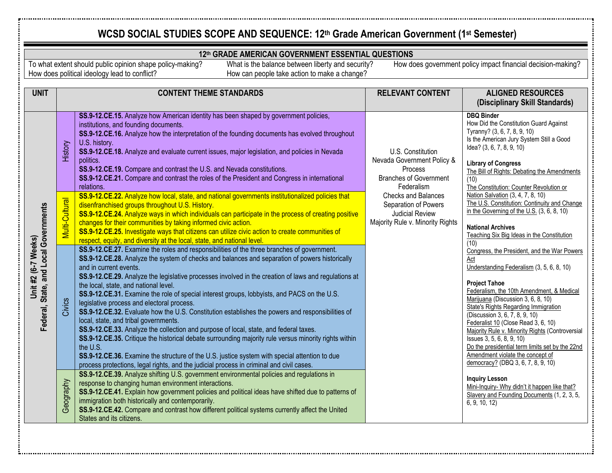#### **12th GRADE AMERICAN GOVERNMENT ESSENTIAL QUESTIONS**

To what extent should public opinion shape policy-making? How does political ideology lead to conflict?

What is the balance between liberty and security? How can people take action to make a change?

| <b>UNIT</b>                                                  |                | <b>CONTENT THEME STANDARDS</b>                                                                                                                                                                                                                                                                                                                                                                                                                                                                                                                                                                                                                                                                                                                                                                                                                                                                                                                                                                                                                                                                                                                                                                                                                                                                                                          | <b>RELEVANT CONTENT</b>                                                                                                                                                                                                       | <b>ALIGNED RESOURCES</b><br>(Disciplinary Skill Standards)                                                                                                                                                                                                                                                                                                                                                                                                                                                                                                                                                                                                                                                                                                                                                                                                                                                                                                                                                                                                                                                                                                                                            |
|--------------------------------------------------------------|----------------|-----------------------------------------------------------------------------------------------------------------------------------------------------------------------------------------------------------------------------------------------------------------------------------------------------------------------------------------------------------------------------------------------------------------------------------------------------------------------------------------------------------------------------------------------------------------------------------------------------------------------------------------------------------------------------------------------------------------------------------------------------------------------------------------------------------------------------------------------------------------------------------------------------------------------------------------------------------------------------------------------------------------------------------------------------------------------------------------------------------------------------------------------------------------------------------------------------------------------------------------------------------------------------------------------------------------------------------------|-------------------------------------------------------------------------------------------------------------------------------------------------------------------------------------------------------------------------------|-------------------------------------------------------------------------------------------------------------------------------------------------------------------------------------------------------------------------------------------------------------------------------------------------------------------------------------------------------------------------------------------------------------------------------------------------------------------------------------------------------------------------------------------------------------------------------------------------------------------------------------------------------------------------------------------------------------------------------------------------------------------------------------------------------------------------------------------------------------------------------------------------------------------------------------------------------------------------------------------------------------------------------------------------------------------------------------------------------------------------------------------------------------------------------------------------------|
| Federal, State, and Local Governments<br>Unit #2 (6-7 Weeks) | History        | SS.9-12.CE.15. Analyze how American identity has been shaped by government policies,<br>institutions, and founding documents.<br>SS.9-12.CE.16. Analyze how the interpretation of the founding documents has evolved throughout<br>U.S. history.<br>SS.9-12.CE.18. Analyze and evaluate current issues, major legislation, and policies in Nevada<br>politics.<br>SS.9-12.CE.19. Compare and contrast the U.S. and Nevada constitutions.<br>SS.9-12.CE.21. Compare and contrast the roles of the President and Congress in international<br>relations.                                                                                                                                                                                                                                                                                                                                                                                                                                                                                                                                                                                                                                                                                                                                                                                  | U.S. Constitution<br>Nevada Government Policy &<br>Process<br><b>Branches of Government</b><br>Federalism<br><b>Checks and Balances</b><br>Separation of Powers<br><b>Judicial Review</b><br>Majority Rule v. Minority Rights | <b>DBQ Binder</b><br>How Did the Constitution Guard Against<br>Tyranny? (3, 6, 7, 8, 9, 10)<br>Is the American Jury System Still a Good<br>Idea? (3, 6, 7, 8, 9, 10)<br><b>Library of Congress</b><br>The Bill of Rights: Debating the Amendments<br>(10)<br>The Constitution: Counter Revolution or<br>Nation Salvation (3, 4, 7, 8, 10)<br>The U.S. Constitution: Continuity and Change<br>in the Governing of the U.S. (3, 6, 8, 10)<br><b>National Archives</b><br>Teaching Six Big Ideas in the Constitution<br>(10)<br>Congress, the President, and the War Powers<br>Act<br>Understanding Federalism (3, 5, 6, 8, 10)<br><b>Project Tahoe</b><br>Federalism, the 10th Amendment, & Medical<br>Marijuana (Discussion 3, 6, 8, 10)<br><b>State's Rights Regarding Immigration</b><br>(Discussion 3, 6, 7, 8, 9, 10)<br>Federalist 10 (Close Read 3, 6, 10)<br>Majority Rule v. Minority Rights (Controversial<br>Issues 3, 5, 6, 8, 9, 10)<br>Do the presidential term limits set by the 22nd<br>Amendment violate the concept of<br>democracy? (DBQ 3, 6, 7, 8, 9, 10)<br><b>Inquiry Lesson</b><br>Mini-Inquiry- Why didn't it happen like that?<br>Slavery and Founding Documents (1, 2, 3, 5, |
|                                                              | Multi-Cultural | SS.9-12.CE.22. Analyze how local, state, and national governments institutionalized policies that<br>disenfranchised groups throughout U.S. History.<br>SS.9-12.CE.24. Analyze ways in which individuals can participate in the process of creating positive<br>changes for their communities by taking informed civic action.<br>SS.9-12.CE.25. Investigate ways that citizens can utilize civic action to create communities of<br>respect, equity, and diversity at the local, state, and national level.                                                                                                                                                                                                                                                                                                                                                                                                                                                                                                                                                                                                                                                                                                                                                                                                                            |                                                                                                                                                                                                                               |                                                                                                                                                                                                                                                                                                                                                                                                                                                                                                                                                                                                                                                                                                                                                                                                                                                                                                                                                                                                                                                                                                                                                                                                       |
|                                                              | Civics         | SS.9-12.CE.27. Examine the roles and responsibilities of the three branches of government.<br>SS.9-12.CE.28. Analyze the system of checks and balances and separation of powers historically<br>and in current events.<br>SS.9-12.CE.29. Analyze the legislative processes involved in the creation of laws and regulations at<br>the local, state, and national level.<br>SS.9-12.CE.31. Examine the role of special interest groups, lobbyists, and PACS on the U.S.<br>legislative process and electoral process.<br>SS.9-12.CE.32. Evaluate how the U.S. Constitution establishes the powers and responsibilities of<br>local, state, and tribal governments.<br>SS.9-12.CE.33. Analyze the collection and purpose of local, state, and federal taxes.<br>SS.9-12.CE.35. Critique the historical debate surrounding majority rule versus minority rights within<br>the U.S.<br>SS.9-12.CE.36. Examine the structure of the U.S. justice system with special attention to due<br>process protections, legal rights, and the judicial process in criminal and civil cases.<br>SS.9-12.CE.39. Analyze shifting U.S. government environmental policies and regulations in<br>response to changing human environment interactions.<br>SS.9-12.CE.41. Explain how government policies and political ideas have shifted due to patterns of |                                                                                                                                                                                                                               |                                                                                                                                                                                                                                                                                                                                                                                                                                                                                                                                                                                                                                                                                                                                                                                                                                                                                                                                                                                                                                                                                                                                                                                                       |
|                                                              | Geography      | immigration both historically and contemporarily.<br>SS.9-12.CE.42. Compare and contrast how different political systems currently affect the United<br>States and its citizens.                                                                                                                                                                                                                                                                                                                                                                                                                                                                                                                                                                                                                                                                                                                                                                                                                                                                                                                                                                                                                                                                                                                                                        |                                                                                                                                                                                                                               | 6, 9, 10, 12                                                                                                                                                                                                                                                                                                                                                                                                                                                                                                                                                                                                                                                                                                                                                                                                                                                                                                                                                                                                                                                                                                                                                                                          |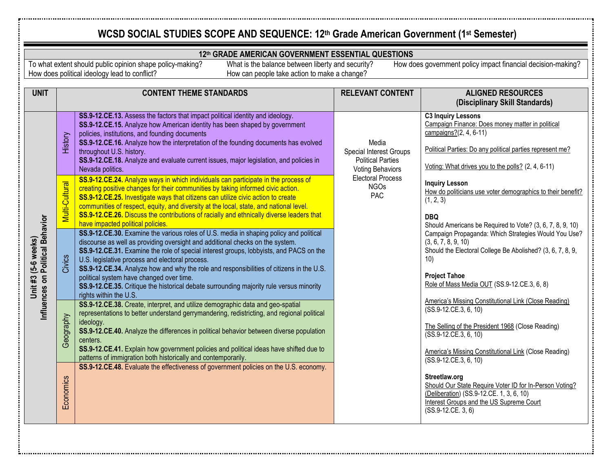#### **12th GRADE AMERICAN GOVERNMENT ESSENTIAL QUESTIONS**

To what extent should public opinion shape policy-making? How does political ideology lead to conflict?

What is the balance between liberty and security? How can people take action to make a change?

| <b>UNIT</b>                                             |                | <b>CONTENT THEME STANDARDS</b>                                                                                                                                                                                                                                                                                                                                                                                                                                                                                                                                                    | <b>RELEVANT CONTENT</b><br><b>ALIGNED RESOURCES</b>                                                                                       |                                                                                                                                                                                                                                                         |  |
|---------------------------------------------------------|----------------|-----------------------------------------------------------------------------------------------------------------------------------------------------------------------------------------------------------------------------------------------------------------------------------------------------------------------------------------------------------------------------------------------------------------------------------------------------------------------------------------------------------------------------------------------------------------------------------|-------------------------------------------------------------------------------------------------------------------------------------------|---------------------------------------------------------------------------------------------------------------------------------------------------------------------------------------------------------------------------------------------------------|--|
|                                                         |                |                                                                                                                                                                                                                                                                                                                                                                                                                                                                                                                                                                                   |                                                                                                                                           | (Disciplinary Skill Standards)                                                                                                                                                                                                                          |  |
| Influences on Political Behavior<br>Unit #3 (5-6 weeks) | History        | SS.9-12.CE.13. Assess the factors that impact political identity and ideology.<br>SS.9-12.CE.15. Analyze how American identity has been shaped by government<br>policies, institutions, and founding documents<br>SS.9-12.CE.16. Analyze how the interpretation of the founding documents has evolved<br>throughout U.S. history.<br>SS.9-12.CE.18. Analyze and evaluate current issues, major legislation, and policies in<br>Nevada politics.                                                                                                                                   | Media<br>Special Interest Groups<br><b>Political Parties</b><br><b>Voting Behaviors</b><br><b>Electoral Process</b><br><b>NGOs</b><br>PAC | <b>C3 Inquiry Lessons</b><br>Campaign Finance: Does money matter in political<br>campaigns?(2, 4, 6-11)<br>Political Parties: Do any political parties represent me?<br>Voting: What drives you to the polls? (2, 4, 6-11)                              |  |
|                                                         | Multi-Cultural | SS.9-12.CE.24. Analyze ways in which individuals can participate in the process of<br>creating positive changes for their communities by taking informed civic action.<br>SS.9-12.CE.25. Investigate ways that citizens can utilize civic action to create<br>communities of respect, equity, and diversity at the local, state, and national level.<br>SS.9-12.CE.26. Discuss the contributions of racially and ethnically diverse leaders that<br>have impacted political policies.                                                                                             |                                                                                                                                           | <b>Inquiry Lesson</b><br>How do politicians use voter demographics to their benefit?<br>(1, 2, 3)<br><b>DBQ</b><br>Should Americans be Required to Vote? (3, 6, 7, 8, 9, 10)                                                                            |  |
|                                                         | Civics         | SS.9-12.CE.30. Examine the various roles of U.S. media in shaping policy and political<br>discourse as well as providing oversight and additional checks on the system.<br>SS.9-12.CE.31. Examine the role of special interest groups, lobbyists, and PACS on the<br>U.S. legislative process and electoral process.<br>SS.9-12.CE.34. Analyze how and why the role and responsibilities of citizens in the U.S.<br>political system have changed over time.<br>SS.9-12.CE.35. Critique the historical debate surrounding majority rule versus minority<br>rights within the U.S. |                                                                                                                                           | Campaign Propaganda: Which Strategies Would You Use?<br>(3, 6, 7, 8, 9, 10)<br>Should the Electoral College Be Abolished? (3, 6, 7, 8, 9,<br>10)<br><b>Project Tahoe</b><br>Role of Mass Media OUT (SS.9-12.CE.3, 6, 8)                                 |  |
|                                                         | Geography      | SS.9-12.CE.38. Create, interpret, and utilize demographic data and geo-spatial<br>representations to better understand gerrymandering, redistricting, and regional political<br>ideology.<br>SS.9-12.CE.40. Analyze the differences in political behavior between diverse population<br>centers.<br>SS.9-12.CE.41. Explain how government policies and political ideas have shifted due to<br>patterns of immigration both historically and contemporarily.                                                                                                                       |                                                                                                                                           | America's Missing Constitutional Link (Close Reading)<br>(SS.9-12.CE.3, 6, 10)<br>The Selling of the President 1968 (Close Reading)<br>$(SS.9-12.CE.3, 6, 10)$<br><b>America's Missing Constitutional Link (Close Reading)</b><br>(SS.9-12.CE.3, 6, 10) |  |
|                                                         | Economics      | SS.9-12.CE.48. Evaluate the effectiveness of government policies on the U.S. economy.                                                                                                                                                                                                                                                                                                                                                                                                                                                                                             |                                                                                                                                           | Streetlaw.org<br>Should Our State Require Voter ID for In-Person Voting?<br>(Deliberation) (SS.9-12.CE. 1, 3, 6, 10)<br>Interest Groups and the US Supreme Court<br>(SS.9-12.CE. 3, 6)                                                                  |  |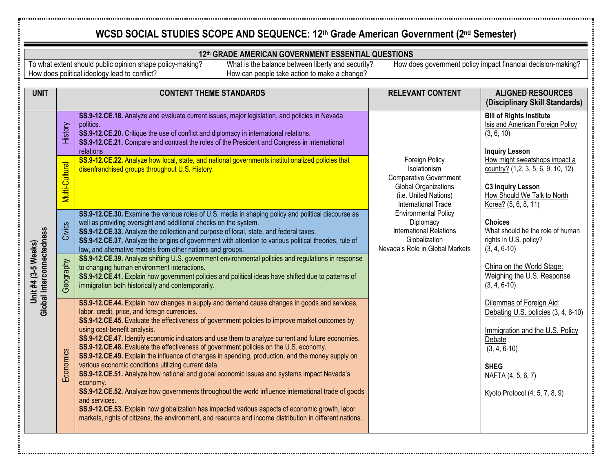#### **12th GRADE AMERICAN GOVERNMENT ESSENTIAL QUESTIONS**

To what extent should public opinion shape policy-making? How does political ideology lead to conflict?

What is the balance between liberty and security? How can people take action to make a change?

| <b>UNIT</b>                                      |                | <b>CONTENT THEME STANDARDS</b>                                                                                                                                                                                                                                                                                                                                                                                                                                                                                                                                                                                                                                                                                                                                                                                                                                                                                                                                                                                                                                                           | <b>RELEVANT CONTENT</b>                                                                                                                                                                                                                                                          | <b>ALIGNED RESOURCES</b><br>(Disciplinary Skill Standards)                                                                                                                                            |
|--------------------------------------------------|----------------|------------------------------------------------------------------------------------------------------------------------------------------------------------------------------------------------------------------------------------------------------------------------------------------------------------------------------------------------------------------------------------------------------------------------------------------------------------------------------------------------------------------------------------------------------------------------------------------------------------------------------------------------------------------------------------------------------------------------------------------------------------------------------------------------------------------------------------------------------------------------------------------------------------------------------------------------------------------------------------------------------------------------------------------------------------------------------------------|----------------------------------------------------------------------------------------------------------------------------------------------------------------------------------------------------------------------------------------------------------------------------------|-------------------------------------------------------------------------------------------------------------------------------------------------------------------------------------------------------|
| Global Interconnectedness<br>Unit #4 (3-5 Weeks) | History        | SS.9-12.CE.18. Analyze and evaluate current issues, major legislation, and policies in Nevada<br>politics.<br>SS.9-12.CE.20. Critique the use of conflict and diplomacy in international relations.<br>SS.9-12.CE.21. Compare and contrast the roles of the President and Congress in international<br>relations                                                                                                                                                                                                                                                                                                                                                                                                                                                                                                                                                                                                                                                                                                                                                                         | Foreign Policy<br>Isolationism<br><b>Comparative Government</b><br>Global Organizations<br>(i.e. United Nations)<br><b>International Trade</b><br><b>Environmental Policy</b><br>Diplomacy<br><b>International Relations</b><br>Globalization<br>Nevada's Role in Global Markets | <b>Bill of Rights Institute</b><br>Isis and American Foreign Policy<br>(3, 6, 10)<br><b>Inquiry Lesson</b>                                                                                            |
|                                                  | Multi-Cultural | SS.9-12.CE.22. Analyze how local, state, and national governments institutionalized policies that<br>disenfranchised groups throughout U.S. History.                                                                                                                                                                                                                                                                                                                                                                                                                                                                                                                                                                                                                                                                                                                                                                                                                                                                                                                                     |                                                                                                                                                                                                                                                                                  | How might sweatshops impact a<br>country? $(1,2, 3, 5, 6, 9, 10, 12)$<br><b>C3 Inquiry Lesson</b><br>How Should We Talk to North<br>Korea? (5, 6, 8, 11)                                              |
|                                                  | Civics         | SS.9-12.CE.30. Examine the various roles of U.S. media in shaping policy and political discourse as<br>well as providing oversight and additional checks on the system.<br>SS.9-12.CE.33. Analyze the collection and purpose of local, state, and federal taxes.<br>SS.9-12.CE.37. Analyze the origins of government with attention to various political theories, rule of<br>law, and alternative models from other nations and groups.                                                                                                                                                                                                                                                                                                                                                                                                                                                                                                                                                                                                                                                 |                                                                                                                                                                                                                                                                                  | <b>Choices</b><br>What should be the role of human<br>rights in U.S. policy?<br>$(3, 4, 6-10)$                                                                                                        |
|                                                  | Geography      | SS.9-12.CE.39. Analyze shifting U.S. government environmental policies and regulations in response<br>to changing human environment interactions.<br>SS.9-12.CE.41. Explain how government policies and political ideas have shifted due to patterns of<br>immigration both historically and contemporarily.                                                                                                                                                                                                                                                                                                                                                                                                                                                                                                                                                                                                                                                                                                                                                                             |                                                                                                                                                                                                                                                                                  | China on the World Stage:<br>Weighing the U.S. Response<br>$(3, 4, 6-10)$                                                                                                                             |
|                                                  | Economics      | SS.9-12.CE.44. Explain how changes in supply and demand cause changes in goods and services,<br>labor, credit, price, and foreign currencies.<br>SS.9-12.CE.45. Evaluate the effectiveness of government policies to improve market outcomes by<br>using cost-benefit analysis.<br>SS.9-12.CE.47. Identify economic indicators and use them to analyze current and future economies.<br>SS.9-12.CE.48. Evaluate the effectiveness of government policies on the U.S. economy.<br>SS.9-12.CE.49. Explain the influence of changes in spending, production, and the money supply on<br>various economic conditions utilizing current data.<br>SS.9-12.CE.51. Analyze how national and global economic issues and systems impact Nevada's<br>economy.<br>SS.9-12.CE.52. Analyze how governments throughout the world influence international trade of goods<br>and services.<br>SS.9-12.CE.53. Explain how globalization has impacted various aspects of economic growth, labor<br>markets, rights of citizens, the environment, and resource and income distribution in different nations. |                                                                                                                                                                                                                                                                                  | Dilemmas of Foreign Aid:<br>Debating U.S. policies (3, 4, 6-10)<br>Immigration and the U.S. Policy<br>Debate<br>$(3, 4, 6-10)$<br><b>SHEG</b><br>NAFTA (4, 5, 6, 7)<br>Kyoto Protocol (4, 5, 7, 8, 9) |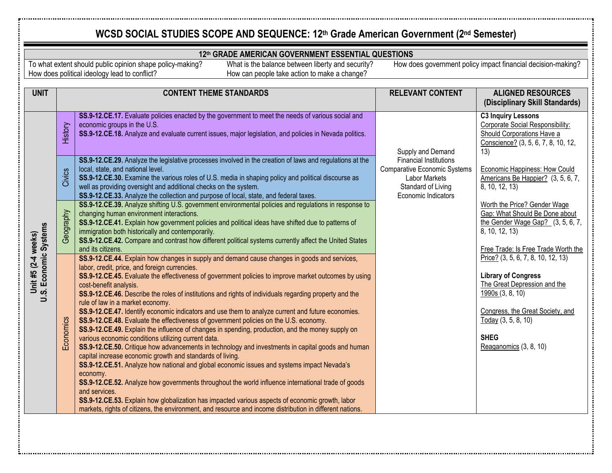#### **12th GRADE AMERICAN GOVERNMENT ESSENTIAL QUESTIONS**

To what extent should public opinion shape policy-making? How does political ideology lead to conflict?

What is the balance between liberty and security? How can people take action to make a change?

| <b>UNIT</b>                                  |           | <b>CONTENT THEME STANDARDS</b>                                                                                                                                                                                                                                                                                                                                                                                                                                                                                                                                                                                                                                                                                                                                                                                                                                                                                                                                                                                                                                                                                                                                                                                                                                                                                                                                                                           | <b>RELEVANT CONTENT</b>                                                                                                                   | <b>ALIGNED RESOURCES</b><br>(Disciplinary Skill Standards)                                                                                                                                                               |
|----------------------------------------------|-----------|----------------------------------------------------------------------------------------------------------------------------------------------------------------------------------------------------------------------------------------------------------------------------------------------------------------------------------------------------------------------------------------------------------------------------------------------------------------------------------------------------------------------------------------------------------------------------------------------------------------------------------------------------------------------------------------------------------------------------------------------------------------------------------------------------------------------------------------------------------------------------------------------------------------------------------------------------------------------------------------------------------------------------------------------------------------------------------------------------------------------------------------------------------------------------------------------------------------------------------------------------------------------------------------------------------------------------------------------------------------------------------------------------------|-------------------------------------------------------------------------------------------------------------------------------------------|--------------------------------------------------------------------------------------------------------------------------------------------------------------------------------------------------------------------------|
| U.S. Economic Systems<br>Unit #5 (2-4 weeks) | History   | SS.9-12.CE.17. Evaluate policies enacted by the government to meet the needs of various social and<br>economic groups in the U.S.<br>SS.9-12.CE.18. Analyze and evaluate current issues, major legislation, and policies in Nevada politics.                                                                                                                                                                                                                                                                                                                                                                                                                                                                                                                                                                                                                                                                                                                                                                                                                                                                                                                                                                                                                                                                                                                                                             | Supply and Demand                                                                                                                         | <b>C3 Inquiry Lessons</b><br>Corporate Social Responsibility:<br>Should Corporations Have a<br>Conscience? (3, 5, 6, 7, 8, 10, 12,<br>13)                                                                                |
|                                              | Civics    | SS.9-12.CE.29. Analyze the legislative processes involved in the creation of laws and regulations at the<br>local, state, and national level.<br>SS.9-12.CE.30. Examine the various roles of U.S. media in shaping policy and political discourse as<br>well as providing oversight and additional checks on the system.<br>SS.9-12.CE.33. Analyze the collection and purpose of local, state, and federal taxes.                                                                                                                                                                                                                                                                                                                                                                                                                                                                                                                                                                                                                                                                                                                                                                                                                                                                                                                                                                                        | <b>Financial Institutions</b><br><b>Comparative Economic Systems</b><br><b>Labor Markets</b><br>Standard of Living<br>Economic Indicators | Economic Happiness: How Could<br>Americans Be Happier? (3, 5, 6, 7,<br>8, 10, 12, 13)                                                                                                                                    |
|                                              | Geography | SS.9-12.CE.39. Analyze shifting U.S. government environmental policies and regulations in response to<br>changing human environment interactions.<br>SS.9-12.CE.41. Explain how government policies and political ideas have shifted due to patterns of<br>immigration both historically and contemporarily.<br>SS.9-12.CE.42. Compare and contrast how different political systems currently affect the United States<br>and its citizens.                                                                                                                                                                                                                                                                                                                                                                                                                                                                                                                                                                                                                                                                                                                                                                                                                                                                                                                                                              |                                                                                                                                           | Worth the Price? Gender Wage<br>Gap: What Should Be Done about<br>the Gender Wage Gap? $(3, 5, 6, 7,$<br>8, 10, 12, 13)<br>Free Trade: Is Free Trade Worth the                                                           |
|                                              | Economics | SS.9-12.CE.44. Explain how changes in supply and demand cause changes in goods and services,<br>labor, credit, price, and foreign currencies.<br>SS.9-12.CE.45. Evaluate the effectiveness of government policies to improve market outcomes by using<br>cost-benefit analysis.<br>SS.9-12.CE.46. Describe the roles of institutions and rights of individuals regarding property and the<br>rule of law in a market economy.<br>SS.9-12.CE.47. Identify economic indicators and use them to analyze current and future economies.<br>SS.9-12.CE.48. Evaluate the effectiveness of government policies on the U.S. economy.<br>SS.9-12.CE.49. Explain the influence of changes in spending, production, and the money supply on<br>various economic conditions utilizing current data.<br>SS.9-12.CE.50. Critique how advancements in technology and investments in capital goods and human<br>capital increase economic growth and standards of living.<br>SS.9-12.CE.51. Analyze how national and global economic issues and systems impact Nevada's<br>economy.<br>SS.9-12.CE.52. Analyze how governments throughout the world influence international trade of goods<br>and services.<br>SS.9-12.CE.53. Explain how globalization has impacted various aspects of economic growth, labor<br>markets, rights of citizens, the environment, and resource and income distribution in different nations. |                                                                                                                                           | Price? (3, 5, 6, 7, 8, 10, 12, 13)<br><b>Library of Congress</b><br>The Great Depression and the<br>1990s (3, 8, 10)<br>Congress, the Great Society, and<br>Today (3, 5, 8, 10)<br><b>SHEG</b><br>Reaganomics (3, 8, 10) |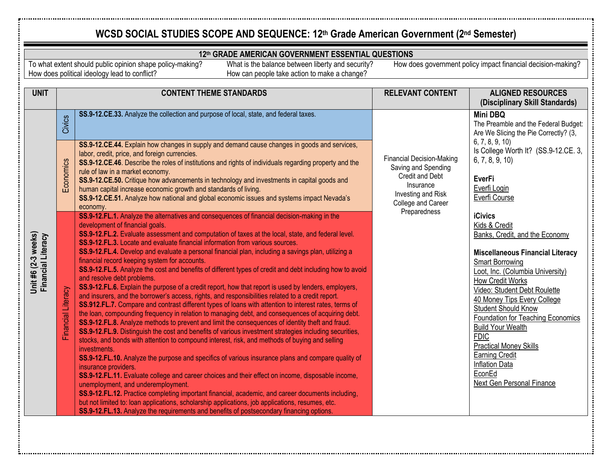#### **12th GRADE AMERICAN GOVERNMENT ESSENTIAL QUESTIONS**

To what extent should public opinion shape policy-making? How does political ideology lead to conflict?

What is the balance between liberty and security? How can people take action to make a change?

| <b>UNIT</b>                               |                                 | <b>CONTENT THEME STANDARDS</b>                                                                                                                                                                                                                                                                                                                                                                                                                                                                                                                                                                                                                                                                                                                                                                                                                                                                                                                                                                                                                                                                                                                                                                                                                                                                                                                                                                                                                                                                                                                                                                                                                                                                                                                                                                                                                                                                                                                                                                                                                                                                                                                                                                                                                                                                                                                                                                                                                                                                                                              | <b>RELEVANT CONTENT</b>                                                                                                                             | <b>ALIGNED RESOURCES</b><br>(Disciplinary Skill Standards)                                                                                                                                                                                                                                                                                                                                                                                                                                                                                                                                                                          |
|-------------------------------------------|---------------------------------|---------------------------------------------------------------------------------------------------------------------------------------------------------------------------------------------------------------------------------------------------------------------------------------------------------------------------------------------------------------------------------------------------------------------------------------------------------------------------------------------------------------------------------------------------------------------------------------------------------------------------------------------------------------------------------------------------------------------------------------------------------------------------------------------------------------------------------------------------------------------------------------------------------------------------------------------------------------------------------------------------------------------------------------------------------------------------------------------------------------------------------------------------------------------------------------------------------------------------------------------------------------------------------------------------------------------------------------------------------------------------------------------------------------------------------------------------------------------------------------------------------------------------------------------------------------------------------------------------------------------------------------------------------------------------------------------------------------------------------------------------------------------------------------------------------------------------------------------------------------------------------------------------------------------------------------------------------------------------------------------------------------------------------------------------------------------------------------------------------------------------------------------------------------------------------------------------------------------------------------------------------------------------------------------------------------------------------------------------------------------------------------------------------------------------------------------------------------------------------------------------------------------------------------------|-----------------------------------------------------------------------------------------------------------------------------------------------------|-------------------------------------------------------------------------------------------------------------------------------------------------------------------------------------------------------------------------------------------------------------------------------------------------------------------------------------------------------------------------------------------------------------------------------------------------------------------------------------------------------------------------------------------------------------------------------------------------------------------------------------|
|                                           | Civics                          | SS.9-12.CE.33. Analyze the collection and purpose of local, state, and federal taxes.                                                                                                                                                                                                                                                                                                                                                                                                                                                                                                                                                                                                                                                                                                                                                                                                                                                                                                                                                                                                                                                                                                                                                                                                                                                                                                                                                                                                                                                                                                                                                                                                                                                                                                                                                                                                                                                                                                                                                                                                                                                                                                                                                                                                                                                                                                                                                                                                                                                       |                                                                                                                                                     | Mini DBQ<br>The Preamble and the Federal Budget:<br>Are We Slicing the Pie Correctly? (3,                                                                                                                                                                                                                                                                                                                                                                                                                                                                                                                                           |
| Unit #6 (2-3 weeks)<br>Financial Literacy | Economics<br>Financial Literacy | SS.9-12.CE.44. Explain how changes in supply and demand cause changes in goods and services,<br>labor, credit, price, and foreign currencies.<br>SS.9-12.CE.46. Describe the roles of institutions and rights of individuals regarding property and the<br>rule of law in a market economy.<br>SS.9-12.CE.50. Critique how advancements in technology and investments in capital goods and<br>human capital increase economic growth and standards of living.<br>SS.9-12.CE.51. Analyze how national and global economic issues and systems impact Nevada's<br>economy.<br>SS.9-12.FL.1. Analyze the alternatives and consequences of financial decision-making in the<br>development of financial goals.<br>SS.9-12.FL.2. Evaluate assessment and computation of taxes at the local, state, and federal level.<br>SS.9-12.FL.3. Locate and evaluate financial information from various sources.<br>SS.9-12.FL.4. Develop and evaluate a personal financial plan, including a savings plan, utilizing a<br>financial record keeping system for accounts.<br>SS.9-12.FL.5. Analyze the cost and benefits of different types of credit and debt including how to avoid<br>and resolve debt problems.<br>SS.9-12.FL.6. Explain the purpose of a credit report, how that report is used by lenders, employers,<br>and insurers, and the borrower's access, rights, and responsibilities related to a credit report.<br>SS.912.FL.7. Compare and contrast different types of loans with attention to interest rates, terms of<br>the loan, compounding frequency in relation to managing debt, and consequences of acquiring debt.<br>SS.9-12.FL.8. Analyze methods to prevent and limit the consequences of identity theft and fraud.<br>SS.9-12.FL.9. Distinguish the cost and benefits of various investment strategies including securities,<br>stocks, and bonds with attention to compound interest, risk, and methods of buying and selling<br>investments.<br>SS.9-12.FL.10. Analyze the purpose and specifics of various insurance plans and compare quality of<br>insurance providers.<br>SS.9-12.FL.11. Evaluate college and career choices and their effect on income, disposable income,<br>unemployment, and underemployment.<br>SS.9-12.FL.12. Practice completing important financial, academic, and career documents including,<br>but not limited to: loan applications, scholarship applications, job applications, resumes, etc.<br>SS.9-12.FL.13. Analyze the requirements and benefits of postsecondary financing options. | <b>Financial Decision-Making</b><br>Saving and Spending<br>Credit and Debt<br>Insurance<br>Investing and Risk<br>College and Career<br>Preparedness | 6, 7, 8, 9, 10<br>Is College Worth It? (SS.9-12.CE. 3,<br>6, 7, 8, 9, 10<br><b>EverFi</b><br>Everfi Login<br>Everfi Course<br><b>iCivics</b><br>Kids & Credit<br>Banks, Credit, and the Economy<br><b>Miscellaneous Financial Literacy</b><br><b>Smart Borrowing</b><br>Loot, Inc. (Columbia University)<br>How Credit Works<br>Video: Student Debt Roulette<br>40 Money Tips Every College<br><b>Student Should Know</b><br>Foundation for Teaching Economics<br><b>Build Your Wealth</b><br><b>FDIC</b><br><b>Practical Money Skills</b><br><b>Earning Credit</b><br><b>Inflation Data</b><br>EconEd<br>Next Gen Personal Finance |